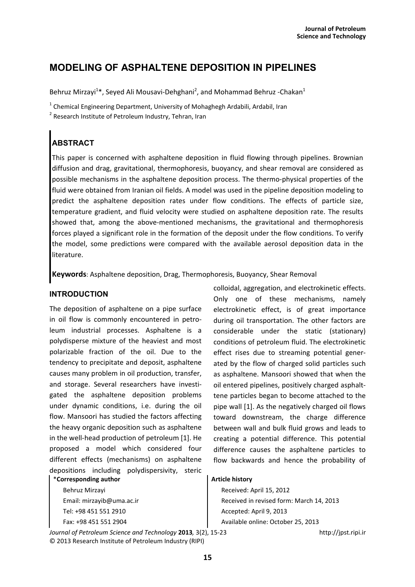## **MODELING OF ASPHALTENE DEPOSITION IN PIPELINES**

Behruz Mirzayi<sup>1\*</sup>, Seyed Ali Mousavi-Dehghani<sup>2</sup>, and Mohammad Behruz -Chakan<sup>1</sup>

 $^1$  Chemical Engineering Department, University of Mohaghegh Ardabili, Ardabil, Iran

<sup>2</sup> Research Institute of Petroleum Industry, Tehran, Iran

# **ABSTRACT**

This paper is concerned with asphaltene deposition in fluid flowing through pipelines. Brownian diffusion and drag, gravitational, thermophoresis, buoyancy, and shear removal are considered as possible mechanisms in the asphaltene deposition process. The thermo-physical properties of the fluid were obtained from Iranian oil fields. A model was used in the pipeline deposition modeling to predict the asphaltene deposition rates under flow conditions. The effects of particle size, temperature gradient, and fluid velocity were studied on asphaltene deposition rate. The results showed that, among the above-mentioned mechanisms, the gravitational and thermophoresis forces played a significant role in the formation of the deposit under the flow conditions. To verify the model, some predictions were compared with the available aerosol deposition data in the literature.

**Keywords**: Asphaltene deposition, Drag, Thermophoresis, Buoyancy, Shear Removal

## **INTRODUCTION**

The deposition of asphaltene on a pipe surface in oil flow is commonly encountered in petroleum industrial processes. Asphaltene is a polydisperse mixture of the heaviest and most polarizable fraction of the oil. Due to the tendency to precipitate and deposit, asphaltene causes many problem in oil production, transfer, and storage. Several researchers have investigated the asphaltene deposition problems under dynamic conditions, i.e. during the oil flow. Mansoori has studied the factors affecting the heavy organic deposition such as asphaltene in the well-head production of petroleum [1]. He proposed a model which considered four different effects (mechanisms) on asphaltene depositions including polydispersivity, steric

\***Corresponding author**

Behruz Mirzayi Email: mirzayib@uma.ac.ir Tel: +98 451 551 2910 Fax: +98 451 551 2904

*Journal of Petroleum Science and Technology* **2013***,* 3(2), 15-23 http://jpst.ripi.ir © 2013 Research Institute of Petroleum Industry (RIPI)

colloidal, aggregation, and electrokinetic effects. Only one of these mechanisms, namely electrokinetic effect, is of great importance during oil transportation. The other factors are considerable under the static (stationary) conditions of petroleum fluid. The electrokinetic effect rises due to streaming potential generated by the flow of charged solid particles such as asphaltene. Mansoori showed that when the oil entered pipelines, positively charged asphalttene particles began to become attached to the pipe wall [1]. As the negatively charged oil flows toward downstream, the charge difference between wall and bulk fluid grows and leads to creating a potential difference. This potential difference causes the asphaltene particles to flow backwards and hence the probability of

## **Article history**

Received: April 15, 2012 Received in revised form: March 14, 2013 Accepted: April 9, 2013 Available online: October 25, 2013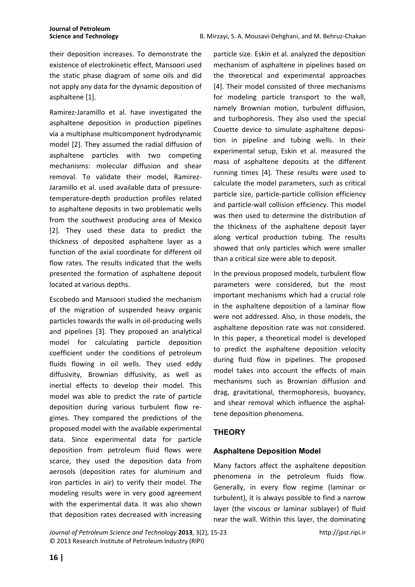their deposition increases. To demonstrate the existence of electrokinetic effect, Mansoori used the static phase diagram of some oils and did not apply any data for the dynamic deposition of asphaltene [1].

Ramirez-Jaramillo et al. have investigated the asphaltene deposition in production pipelines via a multiphase multicomponent hydrodynamic model [2]. They assumed the radial diffusion of asphaltene particles with two competing mechanisms: molecular diffusion and shear removal. To validate their model, Ramirez-Jaramillo et al. used available data of pressuretemperature-depth production profiles related to asphaltene deposits in two problematic wells from the southwest producing area of Mexico [2]. They used these data to predict the thickness of deposited asphaltene layer as a function of the axial coordinate for different oil flow rates. The results indicated that the wells presented the formation of asphaltene deposit located at various depths.

Escobedo and Mansoori studied the mechanism of the migration of suspended heavy organic particles towards the walls in oil-producing wells and pipelines [3]. They proposed an analytical model for calculating particle deposition coefficient under the conditions of petroleum fluids flowing in oil wells. They used eddy diffusivity, Brownian diffusivity, as well as inertial effects to develop their model. This model was able to predict the rate of particle deposition during various turbulent flow regimes. They compared the predictions of the proposed model with the available experimental data. Since experimental data for particle deposition from petroleum fluid flows were scarce, they used the deposition data from aerosols (deposition rates for aluminum and iron particles in air) to verify their model. The modeling results were in very good agreement with the experimental data. It was also shown that deposition rates decreased with increasing particle size. Eskin et al. analyzed the deposition mechanism of asphaltene in pipelines based on the theoretical and experimental approaches [4]. Their model consisted of three mechanisms for modeling particle transport to the wall, namely Brownian motion, turbulent diffusion, and turbophoresis. They also used the special Couette device to simulate asphaltene deposition in pipeline and tubing wells. In their experimental setup, Eskin et al. measured the mass of asphaltene deposits at the different running times [4]. These results were used to calculate the model parameters, such as critical particle size, particle-particle collision efficiency and particle-wall collision efficiency. This model was then used to determine the distribution of the thickness of the asphaltene deposit layer along vertical production tubing. The results showed that only particles which were smaller than a critical size were able to deposit.

In the previous proposed models, turbulent flow parameters were considered, but the most important mechanisms which had a crucial role in the asphaltene deposition of a laminar flow were not addressed. Also, in those models, the asphaltene deposition rate was not considered. In this paper, a theoretical model is developed to predict the asphaltene deposition velocity during fluid flow in pipelines. The proposed model takes into account the effects of main mechanisms such as Brownian diffusion and drag, gravitational, thermophoresis, buoyancy, and shear removal which influence the asphaltene deposition phenomena.

## **THEORY**

## **Asphaltene Deposition Model**

Many factors affect the asphaltene deposition phenomena in the petroleum fluids flow. Generally, in every flow regime (laminar or turbulent), it is always possible to find a narrow layer (the viscous or laminar sublayer) of fluid near the wall. Within this layer, the dominating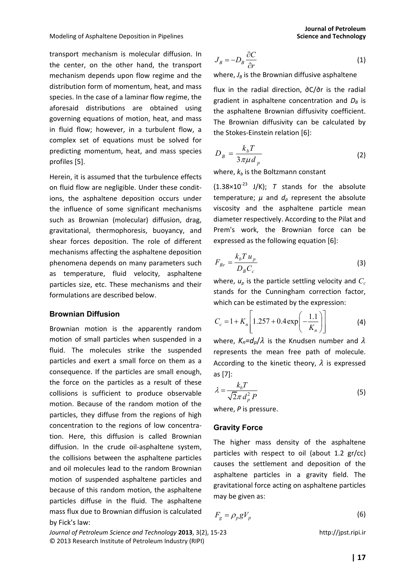transport mechanism is molecular diffusion. In the center, on the other hand, the transport mechanism depends upon flow regime and the distribution form of momentum, heat, and mass species. In the case of a laminar flow regime, the aforesaid distributions are obtained using governing equations of motion, heat, and mass in fluid flow; however, in a turbulent flow, a complex set of equations must be solved for predicting momentum, heat, and mass species profiles [5].

Herein, it is assumed that the turbulence effects on fluid flow are negligible. Under these conditions, the asphaltene deposition occurs under the influence of some significant mechanisms such as Brownian (molecular) diffusion, drag, gravitational, thermophoresis, buoyancy, and shear forces deposition. The role of different mechanisms affecting the asphaltene deposition phenomena depends on many parameters such as temperature, fluid velocity, asphaltene particles size, etc. These mechanisms and their formulations are described below.

#### **Brownian Diffusion**

Brownian motion is the apparently random motion of small particles when suspended in a fluid. The molecules strike the suspended particles and exert a small force on them as a consequence. If the particles are small enough, the force on the particles as a result of these collisions is sufficient to produce observable motion. Because of the random motion of the particles, they diffuse from the regions of high concentration to the regions of low concentration. Here, this diffusion is called Brownian diffusion. In the crude oil-asphaltene system, the collisions between the asphaltene particles and oil molecules lead to the random Brownian motion of suspended asphaltene particles and because of this random motion, the asphaltene particles diffuse in the fluid. The asphaltene mass flux due to Brownian diffusion is calculated by Fick's law:

**Journal of Petroleum** 

$$
J_B = -D_B \frac{\partial C}{\partial r}
$$
 (1)

where,  $J_B$  is the Brownian diffusive asphaltene

flux in the radial direction, ∂C/∂r is the radial gradient in asphaltene concentration and  $D_B$  is the asphaltene Brownian diffusivity coefficient. The Brownian diffusivity can be calculated by the Stokes-Einstein relation [6]:

$$
D_B = \frac{k_b T}{3\pi \mu d_p} \tag{2}
$$

where,  $k_b$  is the Boltzmann constant

 $(1.38\times10^{-23}$  J/K); *T* stands for the absolute temperature;  $\mu$  and  $d_{\rho}$  represent the absolute viscosity and the asphaltene particle mean diameter respectively. According to the Pilat and Prem's work, the Brownian force can be expressed as the following equation [6]:

$$
F_{Br} = \frac{k_b T u_p}{D_b C_c} \tag{3}
$$

where, *up* is the particle settling velocity and *C<sup>c</sup>* stands for the Cunningham correction factor, which can be estimated by the expression:

$$
C_c = 1 + K_n \left[ 1.257 + 0.4 \exp\left(-\frac{1.1}{K_n}\right) \right]
$$
 (4)

where,  $K_n = d_p / \lambda$  is the Knudsen number and  $\lambda$ represents the mean free path of molecule. According to the kinetic theory,  $\lambda$  is expressed as [7]:

$$
\lambda = \frac{k_b T}{\sqrt{2\pi} d_p^2 P} \tag{5}
$$

where, *P* is pressure.

#### **Gravity Force**

The higher mass density of the asphaltene particles with respect to oil (about 1.2 gr/cc) causes the settlement and deposition of the asphaltene particles in a gravity field. The gravitational force acting on asphaltene particles may be given as:

$$
F_g = \rho_p g V_p \tag{6}
$$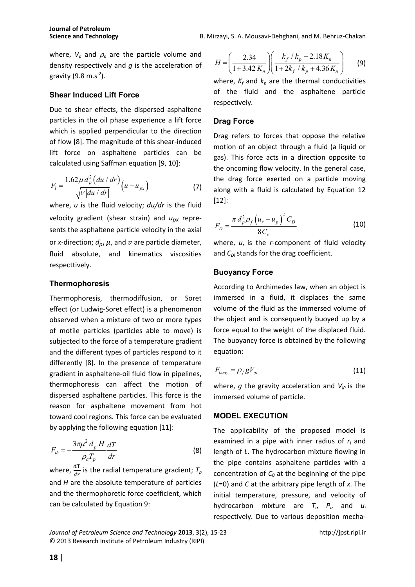**Science and Technology B. Mirzayi, S. A. Mousavi-Dehghani, and M. Behruz-Chakan** 

where,  $V_p$  and  $\rho_p$  are the particle volume and density respectively and *g* is the acceleration of gravity  $(9.8 \text{ m.s}^{-2})$ .

## **Shear Induced Lift Force**

Due to shear effects, the dispersed asphaltene particles in the oil phase experience a lift force which is applied perpendicular to the direction of flow [8]. The magnitude of this shear-induced lift force on asphaltene particles can be calculated using Saffman equation [9, 10]:

$$
F_{l} = \frac{1.62 \,\mu \, d_{p}^{2} \left( du \, / \, dr \right)}{\sqrt{V \left| du \, / \, dr \right|}} \left( u - u_{px} \right) \tag{7}
$$

where, *u* is the fluid velocity; *du/dr* is the fluid velocity gradient (shear strain) and *upx* represents the asphaltene particle velocity in the axial or *x*-direction;  $d_p$ ,  $\mu$ , and  $\nu$  are particle diameter, fluid absolute, and kinematics viscosities respecttively.

## **Thermophoresis**

Thermophoresis, thermodiffusion, or Soret effect (or Ludwig-Soret effect) is a phenomenon observed when a mixture of two or more types of motile particles (particles able to move) is subjected to the force of a temperature gradient and the different types of particles respond to it differently [8]. In the presence of temperature gradient in asphaltene-oil fluid flow in pipelines, thermophoresis can affect the motion of dispersed asphaltene particles. This force is the reason for asphaltene movement from hot toward cool regions. This force can be evaluated by applying the following equation [11]:

$$
F_{th} = -\frac{3\pi\mu^2 d_p H}{\rho_a T_p} \frac{dT}{dr}
$$
 (8)

where,  $\frac{d\text{T}}{dr}$  is the radial temperature gradient;  $T_p$ and *H* are the absolute temperature of particles and the thermophoretic force coefficient, which can be calculated by Equation 9:

2.34  $\left| \frac{k_f}{k_p} + 2.18 \right|$  $1 + 3.42 K_n \parallel 1 + 2k_f / k_n + 4.36$  $f^{\prime}$ <sup>n</sup> $p^{\prime}$  2.10 $\mathbf{h}_n$  $n / (1 + 2\kappa_f / \kappa_p + 4.50 \kappa_n)$  $k_f$  /  $k_p$  + 2.18K *H*  $K_n \parallel 1+2k_f/k_n+4.36K_k$  $\begin{pmatrix} 2.34 \end{pmatrix}$   $\begin{pmatrix} k_f / k_p + 2.18 K_n \end{pmatrix}$  $=\left|\frac{2.54}{1.2.42 K}\right| \left|\frac{(y + 1.25) + (y - 1.25) - (y - 1.25)}{1.21 (1.21 + 1.25) + (y - 1.25)}\right|$  $(1 + 3.42 K_n)(1 + 2k_f / k_p + 4.36 K_n)$ (9)

where,  $K_f$  and  $K_p$  are the thermal conductivities of the fluid and the asphaltene particle respectively.

#### **Drag Force**

Drag refers to forces that oppose the relative motion of an object through a fluid (a liquid or gas). This force acts in a direction opposite to the oncoming flow velocity. In the general case, the drag force exerted on a particle moving along with a fluid is calculated by Equation 12 [12]:

$$
F_D = \frac{\pi d_p^2 \rho_f (u_r - u_p)^2 C_D}{8 C_c}
$$
 (10)

where,  $u_r$  is the *r*-component of fluid velocity and  $C_{Di}$  stands for the drag coefficient.

## **Buoyancy Force**

According to Archimedes law, when an object is immersed in a fluid, it displaces the same volume of the fluid as the immersed volume of the object and is consequently buoyed up by a force equal to the weight of the displaced fluid. The buoyancy force is obtained by the following equation:

$$
F_{buoy} = \rho_f g V_{ip} \tag{11}
$$

where, *g* the gravity acceleration and  $V_{ip}$  is the immersed volume of particle.

#### **MODEL EXECUTION**

The applicability of the proposed model is examined in a pipe with inner radius of  $r_i$  and length of *L*. The hydrocarbon mixture flowing in the pipe contains asphaltene particles with a concentration of *C0* at the beginning of the pipe (*L*=0) and *C* at the arbitrary pipe length of *x*. The initial temperature, pressure, and velocity of hydrocarbon mixture are *T<sup>i</sup>* , *P<sup>i</sup>* , and *u<sup>i</sup>* respectively. Due to various deposition mecha-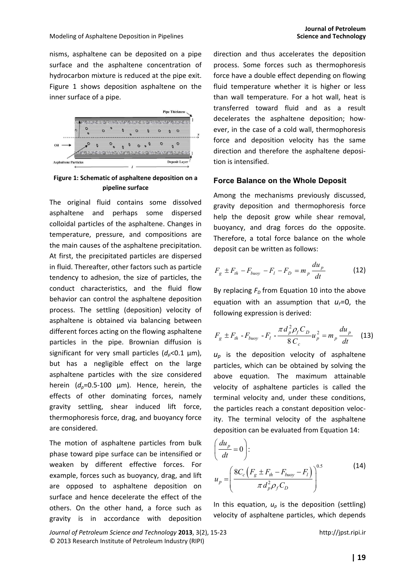nisms, asphaltene can be deposited on a pipe surface and the asphaltene concentration of hydrocarbon mixture is reduced at the pipe exit. Figure 1 shows deposition asphaltene on the inner surface of a pipe.



#### **Figure 1: Schematic of asphaltene deposition on a pipeline surface**

The original fluid contains some dissolved asphaltene and perhaps some dispersed colloidal particles of the asphaltene. Changes in temperature, pressure, and compositions are the main causes of the asphaltene precipitation. At first, the precipitated particles are dispersed in fluid. Thereafter, other factors such as particle tendency to adhesion, the size of particles, the conduct characteristics, and the fluid flow behavior can control the asphaltene deposition process. The settling (deposition) velocity of asphaltene is obtained via balancing between different forces acting on the flowing asphaltene particles in the pipe. Brownian diffusion is significant for very small particles  $(d_p<0.1 \mu m)$ , but has a negligible effect on the large asphaltene particles with the size considered herein  $(d_p=0.5-100 \mu m)$ . Hence, herein, the effects of other dominating forces, namely gravity settling, shear induced lift force, thermophoresis force, drag, and buoyancy force are considered.

The motion of asphaltene particles from bulk phase toward pipe surface can be intensified or weaken by different effective forces. For example, forces such as buoyancy, drag, and lift are opposed to asphaltene deposition on surface and hence decelerate the effect of the others. On the other hand, a force such as gravity is in accordance with deposition direction and thus accelerates the deposition process. Some forces such as thermophoresis force have a double effect depending on flowing fluid temperature whether it is higher or less than wall temperature. For a hot wall, heat is transferred toward fluid and as a result decelerates the asphaltene deposition; however, in the case of a cold wall, thermophoresis force and deposition velocity has the same direction and therefore the asphaltene deposition is intensified.

#### **Force Balance on the Whole Deposit**

Among the mechanisms previously discussed, gravity deposition and thermophoresis force help the deposit grow while shear removal, buoyancy, and drag forces do the opposite. Therefore, a total force balance on the whole deposit can be written as follows:

$$
F_g \pm F_{th} - F_{buoy} - F_l - F_D = m_p \frac{du_p}{dt}
$$
 (12)

By replacing  $F<sub>D</sub>$  from Equation 10 into the above equation with an assumption that *ur*=0, the following expression is derived:

$$
F_g \pm F_{th} - F_{buoy} - F_l - \frac{\pi d_p^2 \rho_f C_D}{8 C_c} u_p^2 = m_p \frac{du_p}{dt}
$$
 (13)

 $u_p$  is the deposition velocity of asphaltene particles, which can be obtained by solving the above equation. The maximum attainable velocity of asphaltene particles is called the terminal velocity and, under these conditions, the particles reach a constant deposition velocity. The terminal velocity of the asphaltene deposition can be evaluated from Equation 14:

$$
\left(\frac{du_p}{dt} = 0\right):
$$
\n
$$
u_p = \left(\frac{8C_c\left(F_g \pm F_{th} - F_{buoy} - F_l\right)}{\pi d_p^2 \rho_f C_D}\right)^{0.5}
$$
\n(14)

In this equation,  $u_p$  is the deposition (settling) velocity of asphaltene particles, which depends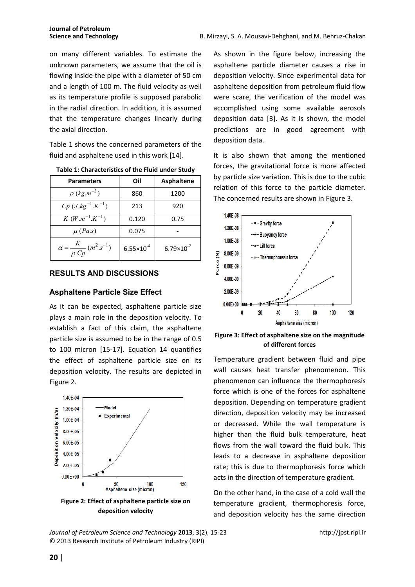on many different variables. To estimate the unknown parameters, we assume that the oil is flowing inside the pipe with a diameter of 50 cm and a length of 100 m. The fluid velocity as well as its temperature profile is supposed parabolic in the radial direction. In addition, it is assumed that the temperature changes linearly during the axial direction.

Table 1 shows the concerned parameters of the fluid and asphaltene used in this work [14].

| <b>Parameters</b>                                   | Oil                   | <b>Asphaltene</b>     |
|-----------------------------------------------------|-----------------------|-----------------------|
| $\rho$ (kg.m <sup>-3</sup> )                        | 860                   | 1200                  |
| $Cp$ ( <i>J.kg</i> <sup>-1</sup> .K <sup>-1</sup> ) | 213                   | 920                   |
| $K(W.m^{-1}.K^{-1})$                                | 0.120                 | 0.75                  |
| $\mu$ (Pa.s)                                        | 0.075                 |                       |
| $\alpha = \frac{K}{\rho C p} (m^2.s^{-1})$          | $6.55 \times 10^{-4}$ | $6.79 \times 10^{-7}$ |

**Table 1: Characteristics of the Fluid under Study** 

## **RESULTS AND DISCUSSIONS**

#### **Asphaltene Particle Size Effect**

As it can be expected, asphaltene particle size plays a main role in the deposition velocity. To establish a fact of this claim, the asphaltene particle size is assumed to be in the range of 0.5 to 100 micron [15-17]. Equation 14 quantifies the effect of asphaltene particle size on its deposition velocity. The results are depicted in Figure 2.



**Figure 2: Effect of asphaltene particle size on deposition velocity** 

*Journal of Petroleum Science and Technology* **2013**, 3(2), 15-23 http://jpst.ripi.ir © 2013 Research Institute of Petroleum Industry (RIPI)

As shown in the figure below, increasing the asphaltene particle diameter causes a rise in deposition velocity. Since experimental data for asphaltene deposition from petroleum fluid flow were scare, the verification of the model was accomplished using some available aerosols deposition data [3]. As it is shown, the model predictions are in good agreement with deposition data.

It is also shown that among the mentioned forces, the gravitational force is more affected by particle size variation. This is due to the cubic relation of this force to the particle diameter. The concerned results are shown in Figure 3.



**Figure 3: Effect of asphaltene size on the magnitude of different forces** 

Temperature gradient between fluid and pipe wall causes heat transfer phenomenon. This phenomenon can influence the thermophoresis force which is one of the forces for asphaltene deposition. Depending on temperature gradient direction, deposition velocity may be increased or decreased. While the wall temperature is higher than the fluid bulk temperature, heat flows from the wall toward the fluid bulk. This leads to a decrease in asphaltene deposition rate; this is due to thermophoresis force which acts in the direction of temperature gradient.

On the other hand, in the case of a cold wall the temperature gradient, thermophoresis force, and deposition velocity has the same direction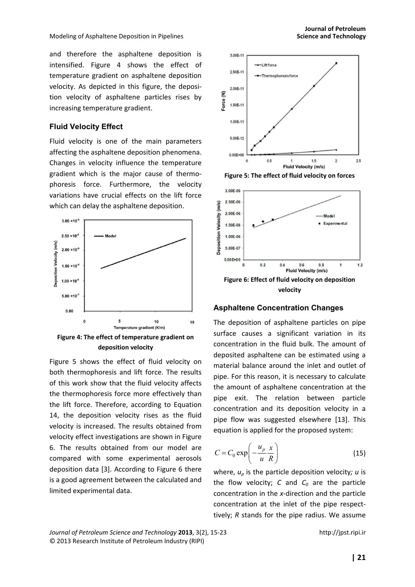Modeling of Asphaltene Deposition in Pipelines **Science and Technology Science and Technology Science and Technology** 

and therefore the asphaltene deposition is intensified. Figure 4 shows the effect of temperature gradient on asphaltene deposition velocity. As depicted in this figure, the deposition velocity of asphaltene particles rises by increasing temperature gradient.

#### **Fluid Velocity Effect**

Fluid velocity is one of the main parameters affecting the asphaltene deposition phenomena. Changes in velocity influence the temperature gradient which is the major cause of thermophoresis force. Furthermore, the velocity variations have crucial effects on the lift force which can delay the asphaltene deposition.



**deposition velocity**

Figure 5 shows the effect of fluid velocity on both thermophoresis and lift force. The results of this work show that the fluid velocity affects the thermophoresis force more effectively than the lift force. Therefore, according to Equation 14, the deposition velocity rises as the fluid velocity is increased. The results obtained from velocity effect investigations are shown in Figure 6. The results obtained from our model are compared with some experimental aerosols deposition data [3]. According to Figure 6 there is a good agreement between the calculated and limited experimental data.



**Figure 5: The effect of fluid velocity on forces**



#### **Asphaltene Concentration Changes**

The deposition of asphaltene particles on pipe surface causes a significant variation in its concentration in the fluid bulk. The amount of deposited asphaltene can be estimated using a material balance around the inlet and outlet of pipe. For this reason, it is necessary to calculate the amount of asphaltene concentration at the pipe exit. The relation between particle concentration and its deposition velocity in a pipe flow was suggested elsewhere [13]. This equation is applied for the proposed system:

$$
C = C_0 \exp\left(-\frac{u_p}{u}\frac{x}{R}\right) \tag{15}
$$

where, *up* is the particle deposition velocity*; u* is the flow velocity;  $C$  and  $C_0$  are the particle concentration in the *x-*direction and the particle concentration at the inlet of the pipe respecttively; *R* stands for the pipe radius. We assume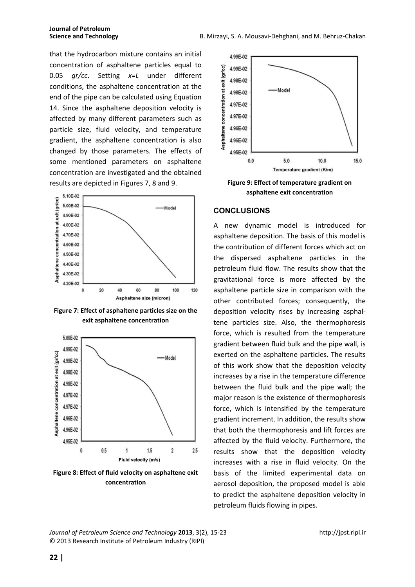that the hydrocarbon mixture contains an initial concentration of asphaltene particles equal to 0.05 *gr/cc*. Setting *x*=*L* under different conditions, the asphaltene concentration at the end of the pipe can be calculated using Equation 14. Since the asphaltene deposition velocity is affected by many different parameters such as particle size, fluid velocity, and temperature gradient, the asphaltene concentration is also changed by those parameters. The effects of some mentioned parameters on asphaltene concentration are investigated and the obtained results are depicted in Figures 7, 8 and 9.



**Figure 7: Effect of asphaltene particles size on the exit asphaltene concentration**



**Figure 8: Effect of fluid velocity on asphaltene exit concentration**



**Figure 9: Effect of temperature gradient on asphaltene exit concentration** 

#### **CONCLUSIONS**

A new dynamic model is introduced for asphaltene deposition. The basis of this model is the contribution of different forces which act on the dispersed asphaltene particles in the petroleum fluid flow. The results show that the gravitational force is more affected by the asphaltene particle size in comparison with the other contributed forces; consequently, the deposition velocity rises by increasing asphaltene particles size. Also, the thermophoresis force, which is resulted from the temperature gradient between fluid bulk and the pipe wall, is exerted on the asphaltene particles. The results of this work show that the deposition velocity increases by a rise in the temperature difference between the fluid bulk and the pipe wall; the major reason is the existence of thermophoresis force, which is intensified by the temperature gradient increment. In addition, the results show that both the thermophoresis and lift forces are affected by the fluid velocity. Furthermore, the results show that the deposition velocity increases with a rise in fluid velocity. On the basis of the limited experimental data on aerosol deposition, the proposed model is able to predict the asphaltene deposition velocity in petroleum fluids flowing in pipes.

*Journal of Petroleum Science and Technology* **2013**, 3(2), 15-23 http://jpst.ripi.ir © 2013 Research Institute of Petroleum Industry (RIPI)